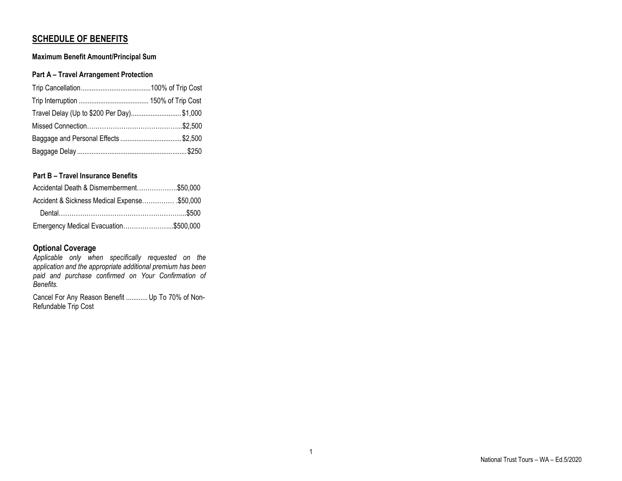# **SCHEDULE OF BENEFITS**

### **Maximum Benefit Amount/Principal Sum**

### **Part A – Travel Arrangement Protection**

| Travel Delay (Up to \$200 Per Day) \$1,000 |  |
|--------------------------------------------|--|
|                                            |  |
| Baggage and Personal Effects \$2,500       |  |
|                                            |  |

## **Part B – Travel Insurance Benefits**

| Accidental Death & Dismemberment\$50,000     |  |
|----------------------------------------------|--|
| Accident & Sickness Medical Expense \$50,000 |  |
|                                              |  |
| Emergency Medical Evacuation\$500,000        |  |

# **Optional Coverage**

*Applicable only when specifically requested on the application and the appropriate additional premium has been paid and purchase confirmed on Your Confirmation of Benefits.*

Cancel For Any Reason Benefit ............ Up To 70% of Non-Refundable Trip Cost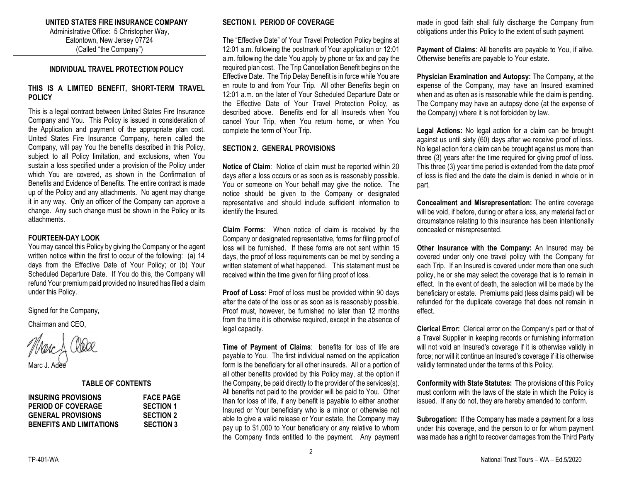# **UNITED STATES FIRE INSURANCE COMPANY**

Administrative Office: 5 Christopher Way, Eatontown, New Jersey 07724 (Called "the Company")

#### **INDIVIDUAL TRAVEL PROTECTION POLICY**

#### **THIS IS A LIMITED BENEFIT, SHORT-TERM TRAVEL POLICY**

This is a legal contract between United States Fire Insurance Company and You. This Policy is issued in consideration of the Application and payment of the appropriate plan cost. United States Fire Insurance Company, herein called the Company, will pay You the benefits described in this Policy, subject to all Policy limitation, and exclusions, when You sustain a loss specified under a provision of the Policy under which You are covered, as shown in the Confirmation of Benefits and Evidence of Benefits. The entire contract is made up of the Policy and any attachments. No agent may change it in any way. Only an officer of the Company can approve a change. Any such change must be shown in the Policy or its attachments.

#### **FOURTEEN-DAY LOOK**

You may cancel this Policy by giving the Company or the agent written notice within the first to occur of the following: (a) 14 days from the Effective Date of Your Policy; or (b) Your Scheduled Departure Date. If You do this, the Company will refund Your premium paid provided no Insured has filed a claim under this Policy.

Signed for the Company,

Chairman and CEO,

Marc J. Adèe

#### **TABLE OF CONTENTS**

| <b>INSURING PROVISIONS</b>      | <b>FACE PAGE</b> |
|---------------------------------|------------------|
| <b>PERIOD OF COVERAGE</b>       | <b>SECTION 1</b> |
| <b>GENERAL PROVISIONS</b>       | <b>SECTION 2</b> |
| <b>BENEFITS AND LIMITATIONS</b> | <b>SECTION 3</b> |

#### **SECTION I. PERIOD OF COVERAGE**

The "Effective Date" of Your Travel Protection Policy begins at 12:01 a.m. following the postmark of Your application or 12:01 a.m. following the date You apply by phone or fax and pay the required plan cost. The Trip Cancellation Benefit begins on the Effective Date. The Trip Delay Benefit is in force while You are en route to and from Your Trip. All other Benefits begin on 12:01 a.m. on the later of Your Scheduled Departure Date or the Effective Date of Your Travel Protection Policy, as described above. Benefits end for all Insureds when You cancel Your Trip, when You return home, or when You complete the term of Your Trip.

#### **SECTION 2. GENERAL PROVISIONS**

**Notice of Claim**: Notice of claim must be reported within 20 days after a loss occurs or as soon as is reasonably possible. You or someone on Your behalf may give the notice. The notice should be given to the Company or designated representative and should include sufficient information to identify the Insured.

**Claim Forms**: When notice of claim is received by the Company or designated representative, forms for filing proof of loss will be furnished. If these forms are not sent within 15 days, the proof of loss requirements can be met by sending a written statement of what happened. This statement must be received within the time given for filing proof of loss.

**Proof of Loss**: Proof of loss must be provided within 90 days after the date of the loss or as soon as is reasonably possible. Proof must, however, be furnished no later than 12 months from the time it is otherwise required, except in the absence of legal capacity.

**Time of Payment of Claims**: benefits for loss of life are payable to You. The first individual named on the application form is the beneficiary for all other insureds. All or a portion of all other benefits provided by this Policy may, at the option if the Company, be paid directly to the provider of the services(s). All benefits not paid to the provider will be paid to You. Other than for loss of life, if any benefit is payable to either another Insured or Your beneficiary who is a minor or otherwise not able to give a valid release or Your estate, the Company may pay up to \$1,000 to Your beneficiary or any relative to whom the Company finds entitled to the payment. Any payment

made in good faith shall fully discharge the Company from obligations under this Policy to the extent of such payment.

**Payment of Claims**: All benefits are payable to You, if alive. Otherwise benefits are payable to Your estate.

**Physician Examination and Autopsy:** The Company, at the expense of the Company, may have an Insured examined when and as often as is reasonable while the claim is pending. The Company may have an autopsy done (at the expense of the Company) where it is not forbidden by law.

**Legal Actions:** No legal action for a claim can be brought against us until sixty (60) days after we receive proof of loss. No legal action for a claim can be brought against us more than three (3) years after the time required for giving proof of loss. This three (3) year time period is extended from the date proof of loss is filed and the date the claim is denied in whole or in part.

**Concealment and Misrepresentation:** The entire coverage will be void, if before, during or after a loss, any material fact or circumstance relating to this insurance has been intentionally concealed or misrepresented.

**Other Insurance with the Company:** An Insured may be covered under only one travel policy with the Company for each Trip. If an Insured is covered under more than one such policy, he or she may select the coverage that is to remain in effect. In the event of death, the selection will be made by the beneficiary or estate. Premiums paid (less claims paid) will be refunded for the duplicate coverage that does not remain in effect.

**Clerical Error:** Clerical error on the Company's part or that of a Travel Supplier in keeping records or furnishing information will not void an Insured's coverage if it is otherwise validly in force; nor will it continue an Insured's coverage if it is otherwise validly terminated under the terms of this Policy.

**Conformity with State Statutes:** The provisions of this Policy must conform with the laws of the state in which the Policy is issued. If any do not, they are hereby amended to conform.

**Subrogation:** If the Company has made a payment for a loss under this coverage, and the person to or for whom payment was made has a right to recover damages from the Third Party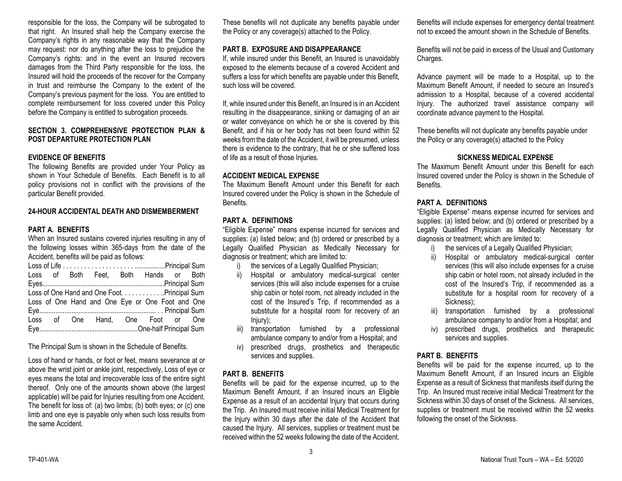responsible for the loss, the Company will be subrogated to that right. An Insured shall help the Company exercise the Company's rights in any reasonable way that the Company may request: nor do anything after the loss to prejudice the Company's rights: and in the event an Insured recovers damages from the Third Party responsible for the loss, the Insured will hold the proceeds of the recover for the Company in trust and reimburse the Company to the extent of the Company's previous payment for the loss. You are entitled to complete reimbursement for loss covered under this Policy before the Company is entitled to subrogation proceeds.

#### **SECTION 3. COMPREHENSIVE PROTECTION PLAN & POST DEPARTURE PROTECTION PLAN**

#### **EVIDENCE OF BENEFITS**

The following Benefits are provided under Your Policy as shown in Your Schedule of Benefits. Each Benefit is to all policy provisions not in conflict with the provisions of the particular Benefit provided.

#### **24-HOUR ACCIDENTAL DEATH AND DISMEMBERMENT**

#### **PART A. BENEFITS**

When an Insured sustains covered injuries resulting in any of the following losses within 365-days from the date of the Accident, benefits will be paid as follows:

|                                              |  |  |  | Loss of Both Feet, Both Hands or Both            |  |  |  |  |
|----------------------------------------------|--|--|--|--------------------------------------------------|--|--|--|--|
|                                              |  |  |  |                                                  |  |  |  |  |
| Loss of One Hand and One Foot. Principal Sum |  |  |  |                                                  |  |  |  |  |
|                                              |  |  |  | Loss of One Hand and One Eye or One Foot and One |  |  |  |  |
|                                              |  |  |  |                                                  |  |  |  |  |
|                                              |  |  |  | Loss of One Hand, One Foot or One                |  |  |  |  |
|                                              |  |  |  |                                                  |  |  |  |  |

The Principal Sum is shown in the Schedule of Benefits.

Loss of hand or hands, or foot or feet, means severance at or above the wrist joint or ankle joint, respectively, Loss of eye or eyes means the total and irrecoverable loss of the entire sight thereof. Only one of the amounts shown above (the largest applicable) will be paid for Injuries resulting from one Accident. The benefit for loss of: (a) two limbs; (b) both eyes; or (c) one limb and one eye is payable only when such loss results from the same Accident.

These benefits will not duplicate any benefits payable under the Policy or any coverage(s) attached to the Policy.

### **PART B. EXPOSURE AND DISAPPEARANCE**

If, while insured under this Benefit, an Insured is unavoidably exposed to the elements because of a covered Accident and suffers a loss for which benefits are payable under this Benefit, such loss will be covered.

If, while insured under this Benefit, an Insured is in an Accident resulting in the disappearance, sinking or damaging of an air or water conveyance on which he or she is covered by this Benefit, and if his or her body has not been found within 52 weeks from the date of the Accident, it will be presumed, unless there is evidence to the contrary, that he or she suffered loss of life as a result of those Injuries.

#### **ACCIDENT MEDICAL EXPENSE**

The Maximum Benefit Amount under this Benefit for each Insured covered under the Policy is shown in the Schedule of Benefits.

### **PART A. DEFINITIONS**

"Eligible Expense" means expense incurred for services and supplies: (a) listed below; and (b) ordered or prescribed by a Legally Qualified Physician as Medically Necessary for diagnosis or treatment; which are limited to:

- i) the services of a Legally Qualified Physician;
- ii) Hospital or ambulatory medical-surgical center services (this will also include expenses for a cruise ship cabin or hotel room, not already included in the cost of the Insured's Trip, if recommended as a substitute for a hospital room for recovery of an Injury);
- iii) transportation furnished by a professional ambulance company to and/or from a Hospital; and
- iv) prescribed drugs, prosthetics and therapeutic services and supplies.

#### **PART B. BENEFITS**

Benefits will be paid for the expense incurred, up to the Maximum Benefit Amount, if an Insured incurs an Eligible Expense as a result of an accidental Injury that occurs during the Trip. An Insured must receive initial Medical Treatment for the Injury within 30 days after the date of the Accident that caused the Injury. All services, supplies or treatment must be received within the 52 weeks following the date of the Accident.

Benefits will include expenses for emergency dental treatment not to exceed the amount shown in the Schedule of Benefits.

Benefits will not be paid in excess of the Usual and Customary Charges.

Advance payment will be made to a Hospital, up to the Maximum Benefit Amount, if needed to secure an Insured's admission to a Hospital, because of a covered accidental Injury. The authorized travel assistance company will coordinate advance payment to the Hospital.

These benefits will not duplicate any benefits payable under the Policy or any coverage(s) attached to the Policy

#### **SICKNESS MEDICAL EXPENSE**

The Maximum Benefit Amount under this Benefit for each Insured covered under the Policy is shown in the Schedule of Benefits.

### **PART A. DEFINITIONS**

"Eligible Expense" means expense incurred for services and supplies: (a) listed below; and (b) ordered or prescribed by a Legally Qualified Physician as Medically Necessary for diagnosis or treatment; which are limited to:

- i) the services of a Legally Qualified Physician;
- ii) Hospital or ambulatory medical-surgical center services (this will also include expenses for a cruise ship cabin or hotel room, not already included in the cost of the Insured's Trip, if recommended as a substitute for a hospital room for recovery of a Sickness);
- iii) transportation furnished by a professional ambulance company to and/or from a Hospital; and
- iv) prescribed drugs, prosthetics and therapeutic services and supplies.

### **PART B. BENEFITS**

Benefits will be paid for the expense incurred, up to the Maximum Benefit Amount, if an Insured incurs an Eligible Expense as a result of Sickness that manifests itself during the Trip. An Insured must receive initial Medical Treatment for the Sickness within 30 days of onset of the Sickness. All services, supplies or treatment must be received within the 52 weeks following the onset of the Sickness.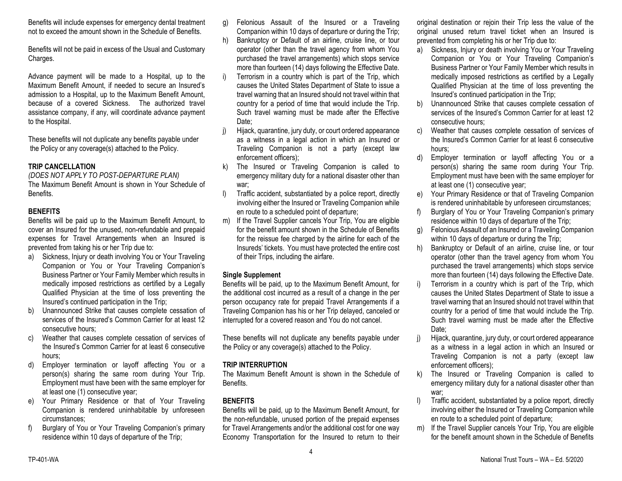Benefits will include expenses for emergency dental treatment not to exceed the amount shown in the Schedule of Benefits.

Benefits will not be paid in excess of the Usual and Customary Charges.

Advance payment will be made to a Hospital, up to the Maximum Benefit Amount, if needed to secure an Insured's admission to a Hospital, up to the Maximum Benefit Amount, because of a covered Sickness. The authorized travel assistance company, if any, will coordinate advance payment to the Hospital.

These benefits will not duplicate any benefits payable under the Policy or any coverage(s) attached to the Policy.

### **TRIP CANCELLATION**

*(DOES NOT APPLY TO POST-DEPARTURE PLAN)* The Maximum Benefit Amount is shown in Your Schedule of Benefits.

### **BENEFITS**

Benefits will be paid up to the Maximum Benefit Amount, to cover an Insured for the unused, non-refundable and prepaid expenses for Travel Arrangements when an Insured is prevented from taking his or her Trip due to:

- a) Sickness, Injury or death involving You or Your Traveling Companion or You or Your Traveling Companion's Business Partner or Your Family Member which results in medically imposed restrictions as certified by a Legally Qualified Physician at the time of loss preventing the Insured's continued participation in the Trip;
- b) Unannounced Strike that causes complete cessation of services of the Insured's Common Carrier for at least 12 consecutive hours;
- Weather that causes complete cessation of services of the Insured's Common Carrier for at least 6 consecutive hours;
- d) Employer termination or layoff affecting You or a person(s) sharing the same room during Your Trip. Employment must have been with the same employer for at least one (1) consecutive year;
- e) Your Primary Residence or that of Your Traveling Companion is rendered uninhabitable by unforeseen circumstances;
- f) Burglary of You or Your Traveling Companion's primary residence within 10 days of departure of the Trip;
- g) Felonious Assault of the Insured or a Traveling Companion within 10 days of departure or during the Trip;
- h) Bankruptcy or Default of an airline, cruise line, or tour operator (other than the travel agency from whom You purchased the travel arrangements) which stops service more than fourteen (14) days following the Effective Date.
- Terrorism in a country which is part of the Trip, which causes the United States Department of State to issue a travel warning that an Insured should not travel within that country for a period of time that would include the Trip. Such travel warning must be made after the Effective Date:
- j) Hijack, quarantine, jury duty, or court ordered appearance as a witness in a legal action in which an Insured or Traveling Companion is not a party (except law enforcement officers);
- k) The Insured or Traveling Companion is called to emergency military duty for a national disaster other than war;
- l) Traffic accident, substantiated by a police report, directly involving either the Insured or Traveling Companion while en route to a scheduled point of departure;
- m) If the Travel Supplier cancels Your Trip, You are eligible for the benefit amount shown in the Schedule of Benefits for the reissue fee charged by the airline for each of the Insureds' tickets. You must have protected the entire cost of their Trips, including the airfare.

### **Single Supplement**

Benefits will be paid, up to the Maximum Benefit Amount, for the additional cost incurred as a result of a change in the per person occupancy rate for prepaid Travel Arrangements if a Traveling Companion has his or her Trip delayed, canceled or interrupted for a covered reason and You do not cancel.

These benefits will not duplicate any benefits payable under the Policy or any coverage(s) attached to the Policy.

### **TRIP INTERRUPTION**

The Maximum Benefit Amount is shown in the Schedule of Benefits.

### **BENEFITS**

Benefits will be paid, up to the Maximum Benefit Amount, for the non-refundable, unused portion of the prepaid expenses for Travel Arrangements and/or the additional cost for one way Economy Transportation for the Insured to return to their

4

original destination or rejoin their Trip less the value of the original unused return travel ticket when an Insured is prevented from completing his or her Trip due to:

- a) Sickness, Injury or death involving You or Your Traveling Companion or You or Your Traveling Companion's Business Partner or Your Family Member which results in medically imposed restrictions as certified by a Legally Qualified Physician at the time of loss preventing the Insured's continued participation in the Trip;
- b) Unannounced Strike that causes complete cessation of services of the Insured's Common Carrier for at least 12 consecutive hours;
- c) Weather that causes complete cessation of services of the Insured's Common Carrier for at least 6 consecutive hours;
- d) Employer termination or layoff affecting You or a person(s) sharing the same room during Your Trip. Employment must have been with the same employer for at least one (1) consecutive year;
- e) Your Primary Residence or that of Traveling Companion is rendered uninhabitable by unforeseen circumstances;
- f) Burglary of You or Your Traveling Companion's primary residence within 10 days of departure of the Trip;
- g) Felonious Assault of an Insured or a Traveling Companion within 10 days of departure or during the Trip;
- h) Bankruptcy or Default of an airline, cruise line, or tour operator (other than the travel agency from whom You purchased the travel arrangements) which stops service more than fourteen (14) days following the Effective Date.
- i) Terrorism in a country which is part of the Trip, which causes the United States Department of State to issue a travel warning that an Insured should not travel within that country for a period of time that would include the Trip. Such travel warning must be made after the Effective Date:
- j) Hijack, quarantine, jury duty, or court ordered appearance as a witness in a legal action in which an Insured or Traveling Companion is not a party (except law enforcement officers);
- k) The Insured or Traveling Companion is called to emergency military duty for a national disaster other than war;
- l) Traffic accident, substantiated by a police report, directly involving either the Insured or Traveling Companion while en route to a scheduled point of departure;
- m) If the Travel Supplier cancels Your Trip, You are eligible for the benefit amount shown in the Schedule of Benefits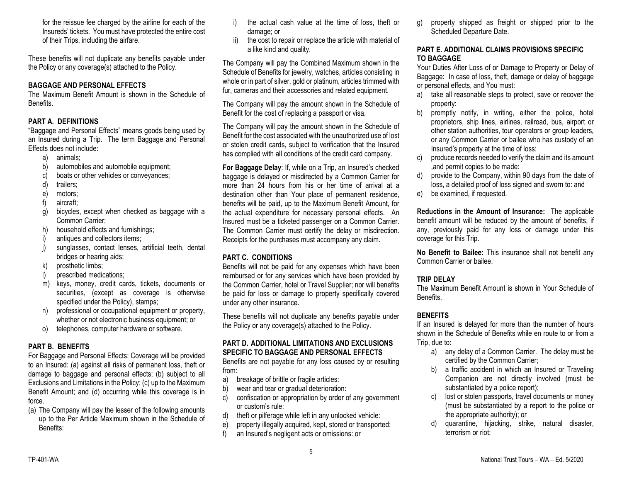for the reissue fee charged by the airline for each of the Insureds' tickets. You must have protected the entire cost of their Trips, including the airfare.

These benefits will not duplicate any benefits payable under the Policy or any coverage(s) attached to the Policy.

### **BAGGAGE AND PERSONAL EFFECTS**

The Maximum Benefit Amount is shown in the Schedule of Benefits.

### **PART A. DEFINITIONS**

"Baggage and Personal Effects" means goods being used by an Insured during a Trip. The term Baggage and Personal Effects does not include:

- a) animals;
- b) automobiles and automobile equipment;
- c) boats or other vehicles or conveyances;
- d) trailers;
- e) motors;
- f) aircraft;
- g) bicycles, except when checked as baggage with a Common Carrier;
- h) household effects and furnishings;
- i) antiques and collectors items;
- j) sunglasses, contact lenses, artificial teeth, dental bridges or hearing aids;
- k) prosthetic limbs;
- l) prescribed medications;
- m) keys, money, credit cards, tickets, documents or securities, (except as coverage is otherwise specified under the Policy), stamps;
- n) professional or occupational equipment or property, whether or not electronic business equipment; or
- o) telephones, computer hardware or software.

### **PART B. BENEFITS**

For Baggage and Personal Effects: Coverage will be provided to an Insured: (a) against all risks of permanent loss, theft or damage to baggage and personal effects; (b) subject to all Exclusions and Limitations in the Policy; (c) up to the Maximum Benefit Amount; and (d) occurring while this coverage is in force.

(a) The Company will pay the lesser of the following amounts up to the Per Article Maximum shown in the Schedule of Benefits:

- i) the actual cash value at the time of loss, theft or damage; or
- ii) the cost to repair or replace the article with material of a like kind and quality.

The Company will pay the Combined Maximum shown in the Schedule of Benefits for jewelry, watches, articles consisting in whole or in part of silver, gold or platinum, articles trimmed with fur, cameras and their accessories and related equipment.

The Company will pay the amount shown in the Schedule of Benefit for the cost of replacing a passport or visa.

The Company will pay the amount shown in the Schedule of Benefit for the cost associated with the unauthorized use of lost or stolen credit cards, subject to verification that the Insured has complied with all conditions of the credit card company.

**For Baggage Delay**: If, while on a Trip, an Insured's checked baggage is delayed or misdirected by a Common Carrier for more than 24 hours from his or her time of arrival at a destination other than Your place of permanent residence, benefits will be paid, up to the Maximum Benefit Amount, for the actual expenditure for necessary personal effects. An Insured must be a ticketed passenger on a Common Carrier. The Common Carrier must certify the delay or misdirection. Receipts for the purchases must accompany any claim.

# **PART C. CONDITIONS**

Benefits will not be paid for any expenses which have been reimbursed or for any services which have been provided by the Common Carrier, hotel or Travel Supplier; nor will benefits be paid for loss or damage to property specifically covered under any other insurance.

These benefits will not duplicate any benefits payable under the Policy or any coverage(s) attached to the Policy.

## **PART D. ADDITIONAL LIMITATIONS AND EXCLUSIONS SPECIFIC TO BAGGAGE AND PERSONAL EFFECTS**

Benefits are not payable for any loss caused by or resulting from:

- a) breakage of brittle or fragile articles:
- b) wear and tear or gradual deterioration:
- c) confiscation or appropriation by order of any government or custom's rule:
- d) theft or pilferage while left in any unlocked vehicle:
- e) property illegally acquired, kept, stored or transported:
- f) an Insured's negligent acts or omissions: or

g) property shipped as freight or shipped prior to the Scheduled Departure Date.

### **PART E. ADDITIONAL CLAIMS PROVISIONS SPECIFIC TO BAGGAGE**

Your Duties After Loss of or Damage to Property or Delay of Baggage: In case of loss, theft, damage or delay of baggage or personal effects, and You must:

- a) take all reasonable steps to protect, save or recover the property:
- b) promptly notify, in writing, either the police, hotel proprietors, ship lines, airlines, railroad, bus, airport or other station authorities, tour operators or group leaders, or any Common Carrier or bailee who has custody of an Insured's property at the time of loss:
- c) produce records needed to verify the claim and its amount ,and permit copies to be made:
- d) provide to the Company, within 90 days from the date of loss, a detailed proof of loss signed and sworn to: and
- e) be examined, if requested.

**Reductions in the Amount of Insurance:** The applicable benefit amount will be reduced by the amount of benefits, if any, previously paid for any loss or damage under this coverage for this Trip.

**No Benefit to Bailee:** This insurance shall not benefit any Common Carrier or bailee.

# **TRIP DELAY**

The Maximum Benefit Amount is shown in Your Schedule of Benefits.

# **BENEFITS**

If an Insured is delayed for more than the number of hours shown in the Schedule of Benefits while en route to or from a Trip, due to:

- a) any delay of a Common Carrier. The delay must be certified by the Common Carrier;
- b) a traffic accident in which an Insured or Traveling Companion are not directly involved (must be substantiated by a police report);
- c) lost or stolen passports, travel documents or money (must be substantiated by a report to the police or the appropriate authority); or
- d) quarantine, hijacking, strike, natural disaster, terrorism or riot;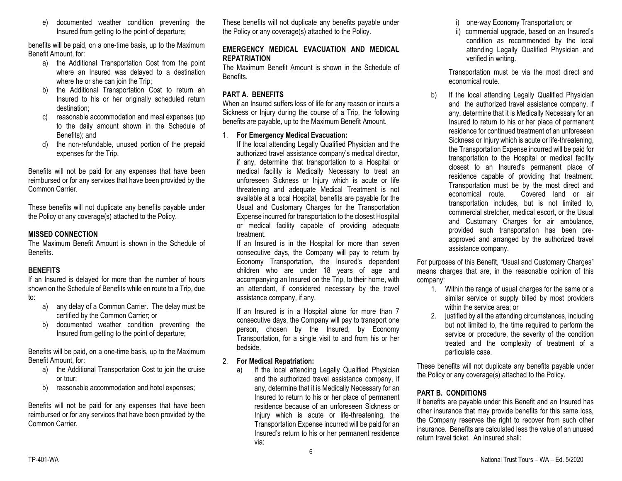e) documented weather condition preventing the Insured from getting to the point of departure;

benefits will be paid, on a one-time basis, up to the Maximum Benefit Amount, for:

- a) the Additional Transportation Cost from the point where an Insured was delayed to a destination where he or she can join the Trip;
- b) the Additional Transportation Cost to return an Insured to his or her originally scheduled return destination;
- c) reasonable accommodation and meal expenses (up to the daily amount shown in the Schedule of Benefits); and
- d) the non-refundable, unused portion of the prepaid expenses for the Trip.

Benefits will not be paid for any expenses that have been reimbursed or for any services that have been provided by the Common Carrier.

These benefits will not duplicate any benefits payable under the Policy or any coverage(s) attached to the Policy.

### **MISSED CONNECTION**

The Maximum Benefit Amount is shown in the Schedule of Benefits.

### **BENEFITS**

If an Insured is delayed for more than the number of hours shown on the Schedule of Benefits while en route to a Trip, due to:

- a) any delay of a Common Carrier. The delay must be certified by the Common Carrier; or
- b) documented weather condition preventing the Insured from getting to the point of departure;

Benefits will be paid, on a one-time basis, up to the Maximum Benefit Amount, for:

- a) the Additional Transportation Cost to join the cruise or tour;
- b) reasonable accommodation and hotel expenses;

Benefits will not be paid for any expenses that have been reimbursed or for any services that have been provided by the Common Carrier.

These benefits will not duplicate any benefits payable under the Policy or any coverage(s) attached to the Policy.

#### **EMERGENCY MEDICAL EVACUATION AND MEDICAL REPATRIATION**

The Maximum Benefit Amount is shown in the Schedule of Benefits.

# **PART A. BENEFITS**

When an Insured suffers loss of life for any reason or incurs a Sickness or Injury during the course of a Trip, the following benefits are payable, up to the Maximum Benefit Amount.

#### 1. **For Emergency Medical Evacuation:**

If the local attending Legally Qualified Physician and the authorized travel assistance company's medical director, if any, determine that transportation to a Hospital or medical facility is Medically Necessary to treat an unforeseen Sickness or Injury which is acute or life threatening and adequate Medical Treatment is not available at a local Hospital, benefits are payable for the Usual and Customary Charges for the Transportation Expense incurred for transportation to the closest Hospital or medical facility capable of providing adequate treatment.

If an Insured is in the Hospital for more than seven consecutive days, the Company will pay to return by Economy Transportation, the Insured's dependent children who are under 18 years of age and accompanying an Insured on the Trip, to their home, with an attendant, if considered necessary by the travel assistance company, if any.

If an Insured is in a Hospital alone for more than 7 consecutive days, the Company will pay to transport one person, chosen by the Insured, by Economy Transportation, for a single visit to and from his or her bedside.

### 2. **For Medical Repatriation:**

a) If the local attending Legally Qualified Physician and the authorized travel assistance company, if any, determine that it is Medically Necessary for an Insured to return to his or her place of permanent residence because of an unforeseen Sickness or Injury which is acute or life-threatening, the Transportation Expense incurred will be paid for an Insured's return to his or her permanent residence via:

i) one-way Economy Transportation; or

ii) commercial upgrade, based on an Insured's condition as recommended by the local attending Legally Qualified Physician and verified in writing.

Transportation must be via the most direct and economical route.

b) If the local attending Legally Qualified Physician and the authorized travel assistance company, if any, determine that it is Medically Necessary for an Insured to return to his or her place of permanent residence for continued treatment of an unforeseen Sickness or Injury which is acute or life-threatening, the Transportation Expense incurred will be paid for transportation to the Hospital or medical facility closest to an Insured's permanent place of residence capable of providing that treatment. Transportation must be by the most direct and<br>economical route Covered land or air Covered land or air transportation includes, but is not limited to, commercial stretcher, medical escort, or the Usual and Customary Charges for air ambulance, provided such transportation has been preapproved and arranged by the authorized travel assistance company.

For purposes of this Benefit, "Usual and Customary Charges" means charges that are, in the reasonable opinion of this company:

- 1. Within the range of usual charges for the same or a similar service or supply billed by most providers within the service area; or
- 2. justified by all the attending circumstances, including but not limited to, the time required to perform the service or procedure, the severity of the condition treated and the complexity of treatment of a particulate case.

These benefits will not duplicate any benefits payable under the Policy or any coverage(s) attached to the Policy.

### **PART B. CONDITIONS**

If benefits are payable under this Benefit and an Insured has other insurance that may provide benefits for this same loss, the Company reserves the right to recover from such other insurance. Benefits are calculated less the value of an unused return travel ticket. An Insured shall: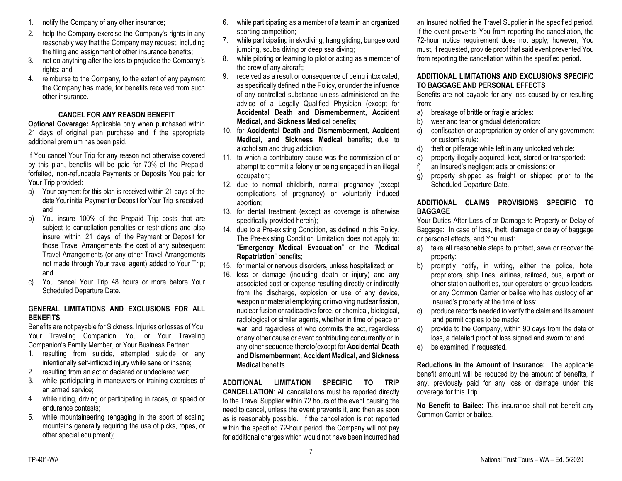- 1. notify the Company of any other insurance;
- 2. help the Company exercise the Company's rights in any reasonably way that the Company may request, including the filing and assignment of other insurance benefits;
- 3. not do anything after the loss to prejudice the Company's rights; and
- 4. reimburse to the Company, to the extent of any payment the Company has made, for benefits received from such other insurance.

### **CANCEL FOR ANY REASON BENEFIT**

**Optional Coverage:** Applicable only when purchased within 21 days of original plan purchase and if the appropriate additional premium has been paid.

If You cancel Your Trip for any reason not otherwise covered by this plan, benefits will be paid for 70% of the Prepaid, forfeited, non-refundable Payments or Deposits You paid for Your Trip provided:

- a) Your payment for this plan is received within 21 days of the date Your initial Payment or Deposit for Your Trip is received; and
- b) You insure 100% of the Prepaid Trip costs that are subject to cancellation penalties or restrictions and also insure within 21 days of the Payment or Deposit for those Travel Arrangements the cost of any subsequent Travel Arrangements (or any other Travel Arrangements not made through Your travel agent) added to Your Trip; and
- c) You cancel Your Trip 48 hours or more before Your Scheduled Departure Date.

#### **GENERAL LIMITATIONS AND EXCLUSIONS FOR ALL BENEFITS**

Benefits are not payable for Sickness, Injuries or losses of You, Your Traveling Companion, You or Your Traveling Companion's Family Member, or Your Business Partner:

- 1. resulting from suicide, attempted suicide or any intentionally self-inflicted injury while sane or insane;
- 2. resulting from an act of declared or undeclared war;
- 3. while participating in maneuvers or training exercises of an armed service;
- 4. while riding, driving or participating in races, or speed or endurance contests;
- 5. while mountaineering (engaging in the sport of scaling mountains generally requiring the use of picks, ropes, or other special equipment);
- 6. while participating as a member of a team in an organized sporting competition;
- 7. while participating in skydiving, hang gliding, bungee cord jumping, scuba diving or deep sea diving;
- 8. while piloting or learning to pilot or acting as a member of the crew of any aircraft;
- 9. received as a result or consequence of being intoxicated, as specifically defined in the Policy, or under the influence of any controlled substance unless administered on the advice of a Legally Qualified Physician (except for **Accidental Death and Dismemberment, Accident Medical, and Sickness Medical** benefits;
- 10. for **Accidental Death and Dismemberment, Accident Medical, and Sickness Medical** benefits; due to alcoholism and drug addiction;
- 11. to which a contributory cause was the commission of or attempt to commit a felony or being engaged in an illegal occupation;
- 12. due to normal childbirth, normal pregnancy (except complications of pregnancy) or voluntarily induced abortion;
- 13. for dental treatment (except as coverage is otherwise specifically provided herein);
- 14. due to a Pre-existing Condition, as defined in this Policy. The Pre-existing Condition Limitation does not apply to: "**Emergency Medical Evacuation**" or the "**Medical Repatriation**" benefits;
- 15. for mental or nervous disorders, unless hospitalized; or
- 16. loss or damage (including death or injury) and any associated cost or expense resulting directly or indirectly from the discharge, explosion or use of any device, weapon or material employing or involving nuclear fission, nuclear fusion or radioactive force, or chemical, biological, radiological or similar agents, whether in time of peace or war, and regardless of who commits the act, regardless or any other cause or event contributing concurrently or in any other sequence thereto(except for **Accidental Death and Dismemberment, Accident Medical, and Sickness Medical** benefits.

**ADDITIONAL LIMITATION SPECIFIC TO TRIP CANCELLATION**: All cancellations must be reported directly to the Travel Supplier within 72 hours of the event causing the need to cancel, unless the event prevents it, and then as soon as is reasonably possible. If the cancellation is not reported within the specified 72-hour period, the Company will not pay for additional charges which would not have been incurred had

an Insured notified the Travel Supplier in the specified period. If the event prevents You from reporting the cancellation, the 72-hour notice requirement does not apply; however, You must, if requested, provide proof that said event prevented You from reporting the cancellation within the specified period.

#### **ADDITIONAL LIMITATIONS AND EXCLUSIONS SPECIFIC TO BAGGAGE AND PERSONAL EFFECTS**

Benefits are not payable for any loss caused by or resulting from:

- a) breakage of brittle or fragile articles:
- b) wear and tear or gradual deterioration:
- c) confiscation or appropriation by order of any government or custom's rule:
- d) theft or pilferage while left in any unlocked vehicle:
- e) property illegally acquired, kept, stored or transported:
- f) an Insured's negligent acts or omissions: or
- g) property shipped as freight or shipped prior to the Scheduled Departure Date.

### **ADDITIONAL CLAIMS PROVISIONS SPECIFIC TO BAGGAGE**

Your Duties After Loss of or Damage to Property or Delay of Baggage: In case of loss, theft, damage or delay of baggage or personal effects, and You must:

- a) take all reasonable steps to protect, save or recover the property:
- b) promptly notify, in writing, either the police, hotel proprietors, ship lines, airlines, railroad, bus, airport or other station authorities, tour operators or group leaders, or any Common Carrier or bailee who has custody of an Insured's property at the time of loss:
- c) produce records needed to verify the claim and its amount ,and permit copies to be made:
- d) provide to the Company, within 90 days from the date of loss, a detailed proof of loss signed and sworn to: and
- e) be examined, if requested.

**Reductions in the Amount of Insurance:** The applicable benefit amount will be reduced by the amount of benefits, if any, previously paid for any loss or damage under this coverage for this Trip.

**No Benefit to Bailee:** This insurance shall not benefit any Common Carrier or bailee.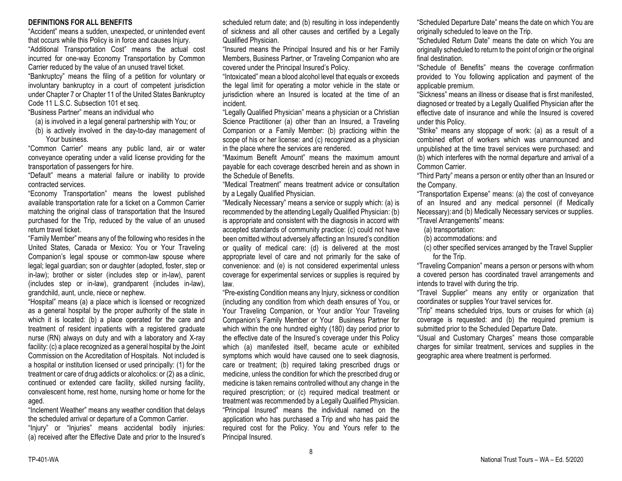#### **DEFINITIONS FOR ALL BENEFITS**

"Accident" means a sudden, unexpected, or unintended event that occurs while this Policy is in force and causes Injury.

"Additional Transportation Cost" means the actual cost incurred for one-way Economy Transportation by Common Carrier reduced by the value of an unused travel ticket.

"Bankruptcy" means the filing of a petition for voluntary or involuntary bankruptcy in a court of competent jurisdiction under Chapter 7 or Chapter 11 of the United States Bankruptcy Code 11 L.S.C. Subsection 101 et seq.

"Business Partner" means an individual who

- (a) is involved in a legal general partnership with You; or
- (b) is actively involved in the day-to-day management of Your business.

"Common Carrier" means any public land, air or water conveyance operating under a valid license providing for the transportation of passengers for hire.

"Default" means a material failure or inability to provide contracted services.

"Economy Transportation" means the lowest published available transportation rate for a ticket on a Common Carrier matching the original class of transportation that the Insured purchased for the Trip, reduced by the value of an unused return travel ticket.

"Family Member" means any of the following who resides in the United States, Canada or Mexico: You or Your Traveling Companion's legal spouse or common-law spouse where legal; legal guardian; son or daughter (adopted, foster, step or in-law); brother or sister (includes step or in-law), parent (includes step or in-law), grandparent (includes in-law), grandchild, aunt, uncle, niece or nephew.

"Hospital" means (a) a place which is licensed or recognized as a general hospital by the proper authority of the state in which it is located: (b) a place operated for the care and treatment of resident inpatients with a registered graduate nurse (RN) always on duty and with a laboratory and X-ray facility: (c) a place recognized as a general hospital by the Joint Commission on the Accreditation of Hospitals. Not included is a hospital or institution licensed or used principally: (1) for the treatment or care of drug addicts or alcoholics: or (2) as a clinic, continued or extended care facility, skilled nursing facility, convalescent home, rest home, nursing home or home for the aged.

"Inclement Weather" means any weather condition that delays the scheduled arrival or departure of a Common Carrier. "Injury" or "Injuries" means accidental bodily injuries: (a) received after the Effective Date and prior to the Insured's scheduled return date; and (b) resulting in loss independently of sickness and all other causes and certified by a Legally Qualified Physician.

"Insured means the Principal Insured and his or her Family Members, Business Partner, or Traveling Companion who are covered under the Principal Insured's Policy.

"Intoxicated" mean a blood alcohol level that equals or exceeds the legal limit for operating a motor vehicle in the state or jurisdiction where an Insured is located at the time of an incident.

"Legally Qualified Physician" means a physician or a Christian Science Practitioner (a) other than an Insured, a Traveling Companion or a Family Member: (b) practicing within the scope of his or her license: and (c) recognized as a physician in the place where the services are rendered.

"Maximum Benefit Amount" means the maximum amount payable for each coverage described herein and as shown in the Schedule of Benefits.

"Medical Treatment" means treatment advice or consultation by a Legally Qualified Physician.

"Medically Necessary" means a service or supply which: (a) is recommended by the attending Legally Qualified Physician: (b) is appropriate and consistent with the diagnosis in accord with accepted standards of community practice: (c) could not have been omitted without adversely affecting an Insured's condition or quality of medical care: (d) is delivered at the most appropriate level of care and not primarily for the sake of convenience: and (e) is not considered experimental unless coverage for experimental services or supplies is required by law.

"Pre-existing Condition means any Injury, sickness or condition (including any condition from which death ensures of You, or Your Traveling Companion, or Your and/or Your Traveling Companion's Family Member or Your Business Partner for which within the one hundred eighty (180) day period prior to the effective date of the Insured's coverage under this Policy which (a) manifested itself, became acute or exhibited symptoms which would have caused one to seek diagnosis, care or treatment; (b) required taking prescribed drugs or medicine, unless the condition for which the prescribed drug or medicine is taken remains controlled without any change in the required prescription; or (c) required medical treatment or treatment was recommended by a Legally Qualified Physician. "Principal Insured" means the individual named on the application who has purchased a Trip and who has paid the required cost for the Policy. You and Yours refer to the Principal Insured.

"Scheduled Departure Date" means the date on which You are originally scheduled to leave on the Trip.

"Scheduled Return Date" means the date on which You are originally scheduled to return to the point of origin or the original final destination.

"Schedule of Benefits" means the coverage confirmation provided to You following application and payment of the applicable premium.

"Sickness" means an illness or disease that is first manifested, diagnosed or treated by a Legally Qualified Physician after the effective date of insurance and while the Insured is covered under this Policy.

"Strike" means any stoppage of work: (a) as a result of a combined effort of workers which was unannounced and unpublished at the time travel services were purchased: and (b) which interferes with the normal departure and arrival of a Common Carrier.

"Third Party" means a person or entity other than an Insured or the Company.

"Transportation Expense" means: (a) the cost of conveyance of an Insured and any medical personnel (if Medically Necessary):and (b) Medically Necessary services or supplies. "Travel Arrangements" means:

(a) transportation:

(b) accommodations: and

(c) other specified services arranged by the Travel Supplier for the Trip.

"Traveling Companion" means a person or persons with whom a covered person has coordinated travel arrangements and intends to travel with during the trip.

"Travel Supplier" means any entity or organization that coordinates or supplies Your travel services for.

"Trip" means scheduled trips, tours or cruises for which (a) coverage is requested: and (b) the required premium is submitted prior to the Scheduled Departure Date.

"Usual and Customary Charges" means those comparable charges for similar treatment, services and supplies in the geographic area where treatment is performed.